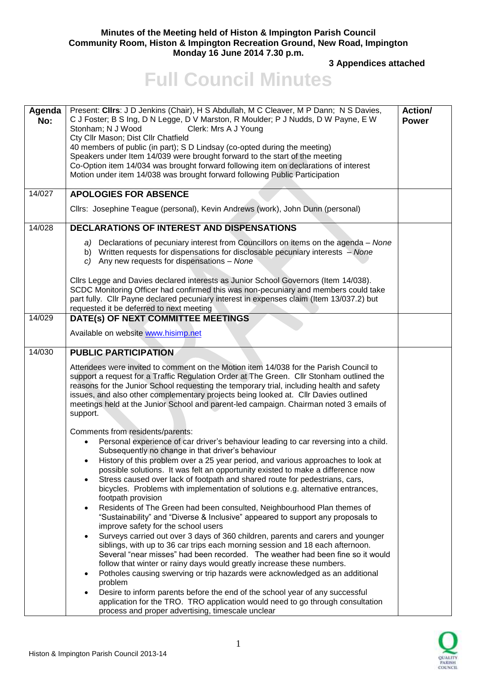## **Minutes of the Meeting held of Histon & Impington Parish Council Community Room, Histon & Impington Recreation Ground, New Road, Impington Monday 16 June 2014 7.30 p.m.**

**3 Appendices attached** 

## **Full Council Minutes**

| Agenda<br>No: | Present: Clirs: J D Jenkins (Chair), H S Abdullah, M C Cleaver, M P Dann; N S Davies,<br>C J Foster; B S Ing, D N Legge, D V Marston, R Moulder; P J Nudds, D W Payne, E W<br>Stonham; N J Wood<br>Clerk: Mrs A J Young<br>Cty Cllr Mason; Dist Cllr Chatfield<br>40 members of public (in part); S D Lindsay (co-opted during the meeting)<br>Speakers under Item 14/039 were brought forward to the start of the meeting<br>Co-Option item 14/034 was brought forward following item on declarations of interest<br>Motion under item 14/038 was brought forward following Public Participation                                                                                                                                                                                                                                                                                                                                                                                                                                                                                                                                                                                                                                                                                                                                                                                                                             | Action/<br><b>Power</b> |
|---------------|-------------------------------------------------------------------------------------------------------------------------------------------------------------------------------------------------------------------------------------------------------------------------------------------------------------------------------------------------------------------------------------------------------------------------------------------------------------------------------------------------------------------------------------------------------------------------------------------------------------------------------------------------------------------------------------------------------------------------------------------------------------------------------------------------------------------------------------------------------------------------------------------------------------------------------------------------------------------------------------------------------------------------------------------------------------------------------------------------------------------------------------------------------------------------------------------------------------------------------------------------------------------------------------------------------------------------------------------------------------------------------------------------------------------------------|-------------------------|
| 14/027        | <b>APOLOGIES FOR ABSENCE</b><br>Cllrs: Josephine Teague (personal), Kevin Andrews (work), John Dunn (personal)                                                                                                                                                                                                                                                                                                                                                                                                                                                                                                                                                                                                                                                                                                                                                                                                                                                                                                                                                                                                                                                                                                                                                                                                                                                                                                                |                         |
|               |                                                                                                                                                                                                                                                                                                                                                                                                                                                                                                                                                                                                                                                                                                                                                                                                                                                                                                                                                                                                                                                                                                                                                                                                                                                                                                                                                                                                                               |                         |
| 14/028        | <b>DECLARATIONS OF INTEREST AND DISPENSATIONS</b><br>a) Declarations of pecuniary interest from Councillors on items on the agenda – None<br>b) Written requests for dispensations for disclosable pecuniary interests – None<br>c) Any new requests for dispensations - None                                                                                                                                                                                                                                                                                                                                                                                                                                                                                                                                                                                                                                                                                                                                                                                                                                                                                                                                                                                                                                                                                                                                                 |                         |
|               | Cllrs Legge and Davies declared interests as Junior School Governors (Item 14/038).<br>SCDC Monitoring Officer had confirmed this was non-pecuniary and members could take<br>part fully. Cllr Payne declared pecuniary interest in expenses claim (Item 13/037.2) but<br>requested it be deferred to next meeting                                                                                                                                                                                                                                                                                                                                                                                                                                                                                                                                                                                                                                                                                                                                                                                                                                                                                                                                                                                                                                                                                                            |                         |
| 14/029        | DATE(s) OF NEXT COMMITTEE MEETINGS                                                                                                                                                                                                                                                                                                                                                                                                                                                                                                                                                                                                                                                                                                                                                                                                                                                                                                                                                                                                                                                                                                                                                                                                                                                                                                                                                                                            |                         |
|               | Available on website www.hisimp.net                                                                                                                                                                                                                                                                                                                                                                                                                                                                                                                                                                                                                                                                                                                                                                                                                                                                                                                                                                                                                                                                                                                                                                                                                                                                                                                                                                                           |                         |
| 14/030        | <b>PUBLIC PARTICIPATION</b>                                                                                                                                                                                                                                                                                                                                                                                                                                                                                                                                                                                                                                                                                                                                                                                                                                                                                                                                                                                                                                                                                                                                                                                                                                                                                                                                                                                                   |                         |
|               | Attendees were invited to comment on the Motion item 14/038 for the Parish Council to<br>support a request for a Traffic Regulation Order at The Green. Cllr Stonham outlined the<br>reasons for the Junior School requesting the temporary trial, including health and safety<br>issues, and also other complementary projects being looked at. Cllr Davies outlined<br>meetings held at the Junior School and parent-led campaign. Chairman noted 3 emails of<br>support.                                                                                                                                                                                                                                                                                                                                                                                                                                                                                                                                                                                                                                                                                                                                                                                                                                                                                                                                                   |                         |
|               | Comments from residents/parents:<br>Personal experience of car driver's behaviour leading to car reversing into a child.<br>Subsequently no change in that driver's behaviour<br>History of this problem over a 25 year period, and various approaches to look at<br>possible solutions. It was felt an opportunity existed to make a difference now<br>Stress caused over lack of footpath and shared route for pedestrians, cars,<br>bicycles. Problems with implementation of solutions e.g. alternative entrances,<br>footpath provision<br>Residents of The Green had been consulted, Neighbourhood Plan themes of<br>"Sustainability" and "Diverse & Inclusive" appeared to support any proposals to<br>improve safety for the school users<br>Surveys carried out over 3 days of 360 children, parents and carers and younger<br>siblings, with up to 36 car trips each morning session and 18 each afternoon.<br>Several "near misses" had been recorded. The weather had been fine so it would<br>follow that winter or rainy days would greatly increase these numbers.<br>Potholes causing swerving or trip hazards were acknowledged as an additional<br>$\bullet$<br>problem<br>Desire to inform parents before the end of the school year of any successful<br>$\bullet$<br>application for the TRO. TRO application would need to go through consultation<br>process and proper advertising, timescale unclear |                         |

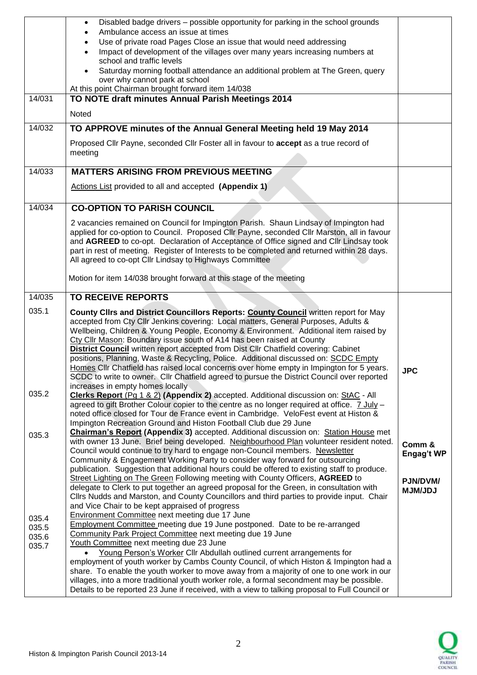|        | Disabled badge drivers - possible opportunity for parking in the school grounds<br>$\bullet$                                                                                                |                   |
|--------|---------------------------------------------------------------------------------------------------------------------------------------------------------------------------------------------|-------------------|
|        | Ambulance access an issue at times<br>$\bullet$                                                                                                                                             |                   |
|        | Use of private road Pages Close an issue that would need addressing<br>$\bullet$                                                                                                            |                   |
|        | Impact of development of the villages over many years increasing numbers at<br>$\bullet$                                                                                                    |                   |
|        | school and traffic levels                                                                                                                                                                   |                   |
|        | Saturday morning football attendance an additional problem at The Green, query<br>$\bullet$                                                                                                 |                   |
|        | over why cannot park at school                                                                                                                                                              |                   |
|        | At this point Chairman brought forward item 14/038                                                                                                                                          |                   |
| 14/031 | TO NOTE draft minutes Annual Parish Meetings 2014                                                                                                                                           |                   |
|        | Noted                                                                                                                                                                                       |                   |
|        |                                                                                                                                                                                             |                   |
| 14/032 | TO APPROVE minutes of the Annual General Meeting held 19 May 2014                                                                                                                           |                   |
|        |                                                                                                                                                                                             |                   |
|        | Proposed Cllr Payne, seconded Cllr Foster all in favour to accept as a true record of                                                                                                       |                   |
|        | meeting                                                                                                                                                                                     |                   |
| 14/033 | <b>MATTERS ARISING FROM PREVIOUS MEETING</b>                                                                                                                                                |                   |
|        |                                                                                                                                                                                             |                   |
|        | Actions List provided to all and accepted (Appendix 1)                                                                                                                                      |                   |
|        |                                                                                                                                                                                             |                   |
| 14/034 | <b>CO-OPTION TO PARISH COUNCIL</b>                                                                                                                                                          |                   |
|        |                                                                                                                                                                                             |                   |
|        | 2 vacancies remained on Council for Impington Parish. Shaun Lindsay of Impington had                                                                                                        |                   |
|        | applied for co-option to Council. Proposed Cllr Payne, seconded Cllr Marston, all in favour                                                                                                 |                   |
|        | and AGREED to co-opt. Declaration of Acceptance of Office signed and Cllr Lindsay took                                                                                                      |                   |
|        | part in rest of meeting. Register of Interests to be completed and returned within 28 days.                                                                                                 |                   |
|        | All agreed to co-opt Cllr Lindsay to Highways Committee                                                                                                                                     |                   |
|        |                                                                                                                                                                                             |                   |
|        | Motion for item 14/038 brought forward at this stage of the meeting                                                                                                                         |                   |
| 14/035 | <b>TO RECEIVE REPORTS</b>                                                                                                                                                                   |                   |
|        |                                                                                                                                                                                             |                   |
|        |                                                                                                                                                                                             |                   |
| 035.1  | County Clirs and District Councillors Reports: County Council written report for May                                                                                                        |                   |
|        | accepted from Cty Cllr Jenkins covering: Local matters, General Purposes, Adults &                                                                                                          |                   |
|        | Wellbeing, Children & Young People, Economy & Environment. Additional item raised by                                                                                                        |                   |
|        | Cty Cllr Mason: Boundary issue south of A14 has been raised at County                                                                                                                       |                   |
|        | <b>District Council</b> written report accepted from Dist Cllr Chatfield covering: Cabinet                                                                                                  |                   |
|        | positions, Planning, Waste & Recycling, Police. Additional discussed on: SCDC Empty                                                                                                         |                   |
|        | Homes Cllr Chatfield has raised local concerns over home empty in Impington for 5 years.                                                                                                    | <b>JPC</b>        |
|        | SCDC to write to owner. Cllr Chatfield agreed to pursue the District Council over reported                                                                                                  |                   |
|        | increases in empty homes locally                                                                                                                                                            |                   |
| 035.2  | Clerks Report (Pg 1 & 2) (Appendix 2) accepted. Additional discussion on: StAC - All                                                                                                        |                   |
|        | agreed to gift Brother Colour copier to the centre as no longer required at office. 7 July -                                                                                                |                   |
|        | noted office closed for Tour de France event in Cambridge. VeloFest event at Histon &                                                                                                       |                   |
|        | Impington Recreation Ground and Histon Football Club due 29 June                                                                                                                            |                   |
| 035.3  | <b>Chairman's Report (Appendix 3)</b> accepted. Additional discussion on: Station House met                                                                                                 |                   |
|        | with owner 13 June. Brief being developed. Neighbourhood Plan volunteer resident noted.                                                                                                     | Comm &            |
|        | Council would continue to try hard to engage non-Council members. Newsletter                                                                                                                | <b>Engag't WP</b> |
|        | Community & Engagement Working Party to consider way forward for outsourcing                                                                                                                |                   |
|        | publication. Suggestion that additional hours could be offered to existing staff to produce.                                                                                                |                   |
|        | Street Lighting on The Green Following meeting with County Officers, AGREED to                                                                                                              | PJN/DVM/          |
|        | delegate to Clerk to put together an agreed proposal for the Green, in consultation with                                                                                                    | <b>MJM/JDJ</b>    |
|        | Cllrs Nudds and Marston, and County Councillors and third parties to provide input. Chair                                                                                                   |                   |
|        | and Vice Chair to be kept appraised of progress                                                                                                                                             |                   |
| 035.4  | Environment Committee next meeting due 17 June                                                                                                                                              |                   |
| 035.5  | <b>Employment Committee meeting due 19 June postponed. Date to be re-arranged</b><br>Community Park Project Committee next meeting due 19 June                                              |                   |
| 035.6  | Youth Committee next meeting due 23 June                                                                                                                                                    |                   |
| 035.7  | Young Person's Worker Cllr Abdullah outlined current arrangements for                                                                                                                       |                   |
|        | employment of youth worker by Cambs County Council, of which Histon & Impington had a                                                                                                       |                   |
|        | share. To enable the youth worker to move away from a majority of one to one work in our                                                                                                    |                   |
|        | villages, into a more traditional youth worker role, a formal secondment may be possible.<br>Details to be reported 23 June if received, with a view to talking proposal to Full Council or |                   |

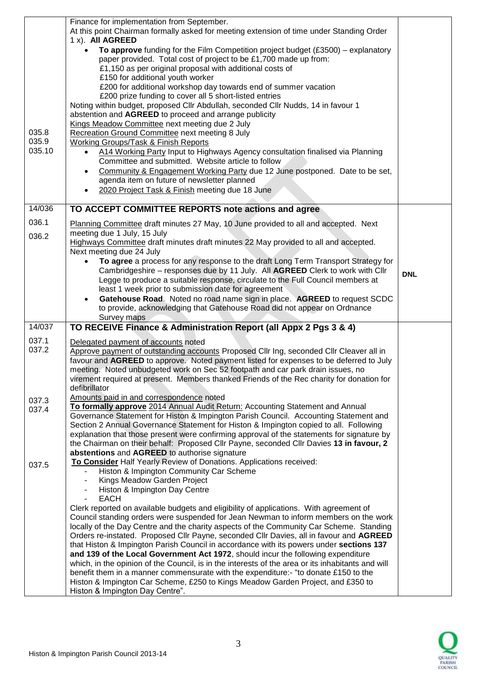|                | Finance for implementation from September.<br>At this point Chairman formally asked for meeting extension of time under Standing Order<br>1 x). All AGREED                               |            |
|----------------|------------------------------------------------------------------------------------------------------------------------------------------------------------------------------------------|------------|
|                | To approve funding for the Film Competition project budget $(E3500)$ – explanatory<br>$\bullet$<br>paper provided. Total cost of project to be £1,700 made up from:                      |            |
|                | £1,150 as per original proposal with additional costs of<br>£150 for additional youth worker                                                                                             |            |
|                | £200 for additional workshop day towards end of summer vacation                                                                                                                          |            |
|                | £200 prize funding to cover all 5 short-listed entries                                                                                                                                   |            |
|                | Noting within budget, proposed Cllr Abdullah, seconded Cllr Nudds, 14 in favour 1<br>abstention and AGREED to proceed and arrange publicity                                              |            |
|                | Kings Meadow Committee next meeting due 2 July                                                                                                                                           |            |
| 035.8<br>035.9 | Recreation Ground Committee next meeting 8 July<br>Working Groups/Task & Finish Reports                                                                                                  |            |
| 035.10         | A14 Working Party Input to Highways Agency consultation finalised via Planning                                                                                                           |            |
|                | Committee and submitted. Website article to follow                                                                                                                                       |            |
|                | Community & Engagement Working Party due 12 June postponed. Date to be set,<br>$\bullet$<br>agenda item on future of newsletter planned                                                  |            |
|                | 2020 Project Task & Finish meeting due 18 June                                                                                                                                           |            |
| 14/036         | TO ACCEPT COMMITTEE REPORTS note actions and agree                                                                                                                                       |            |
| 036.1          |                                                                                                                                                                                          |            |
| 036.2          | Planning Committee draft minutes 27 May, 10 June provided to all and accepted. Next<br>meeting due 1 July, 15 July                                                                       |            |
|                | Highways Committee draft minutes draft minutes 22 May provided to all and accepted.                                                                                                      |            |
|                | Next meeting due 24 July<br>To agree a process for any response to the draft Long Term Transport Strategy for                                                                            |            |
|                | Cambridgeshire – responses due by 11 July. All AGREED Clerk to work with Cllr                                                                                                            | <b>DNL</b> |
|                | Legge to produce a suitable response, circulate to the Full Council members at                                                                                                           |            |
|                | least 1 week prior to submission date for agreement<br>Gatehouse Road. Noted no road name sign in place. AGREED to request SCDC                                                          |            |
|                | to provide, acknowledging that Gatehouse Road did not appear on Ordnance                                                                                                                 |            |
| 14/037         | Survey maps<br>TO RECEIVE Finance & Administration Report (all Appx 2 Pgs 3 & 4)                                                                                                         |            |
| 037.1          | Delegated payment of accounts noted                                                                                                                                                      |            |
| 037.2          | Approve payment of outstanding accounts Proposed Cllr Ing, seconded Cllr Cleaver all in                                                                                                  |            |
|                | favour and AGREED to approve. Noted payment listed for expenses to be deferred to July                                                                                                   |            |
|                | meeting. Noted unbudgeted work on Sec 52 footpath and car park drain issues, no<br>virement required at present. Members thanked Friends of the Rec charity for donation for             |            |
|                | defibrillator                                                                                                                                                                            |            |
| 037.3          | Amounts paid in and correspondence noted                                                                                                                                                 |            |
| 037.4          | To formally approve 2014 Annual Audit Return: Accounting Statement and Annual<br>Governance Statement for Histon & Impington Parish Council. Accounting Statement and                    |            |
|                | Section 2 Annual Governance Statement for Histon & Impington copied to all. Following                                                                                                    |            |
|                | explanation that those present were confirming approval of the statements for signature by<br>the Chairman on their behalf: Proposed Cllr Payne, seconded Cllr Davies 13 in favour, 2    |            |
|                | abstentions and AGREED to authorise signature                                                                                                                                            |            |
| 037.5          | To Consider Half Yearly Review of Donations. Applications received:                                                                                                                      |            |
|                | Histon & Impington Community Car Scheme<br>Kings Meadow Garden Project                                                                                                                   |            |
|                | Histon & Impington Day Centre                                                                                                                                                            |            |
|                | <b>EACH</b><br>Clerk reported on available budgets and eligibility of applications. With agreement of                                                                                    |            |
|                | Council standing orders were suspended for Jean Newman to inform members on the work                                                                                                     |            |
|                | locally of the Day Centre and the charity aspects of the Community Car Scheme. Standing                                                                                                  |            |
|                | Orders re-instated. Proposed Cllr Payne, seconded Cllr Davies, all in favour and AGREED<br>that Histon & Impington Parish Council in accordance with its powers under sections 137       |            |
|                | and 139 of the Local Government Act 1972, should incur the following expenditure                                                                                                         |            |
|                | which, in the opinion of the Council, is in the interests of the area or its inhabitants and will<br>benefit them in a manner commensurate with the expenditure:- "to donate £150 to the |            |
|                | Histon & Impington Car Scheme, £250 to Kings Meadow Garden Project, and £350 to                                                                                                          |            |
|                | Histon & Impington Day Centre".                                                                                                                                                          |            |

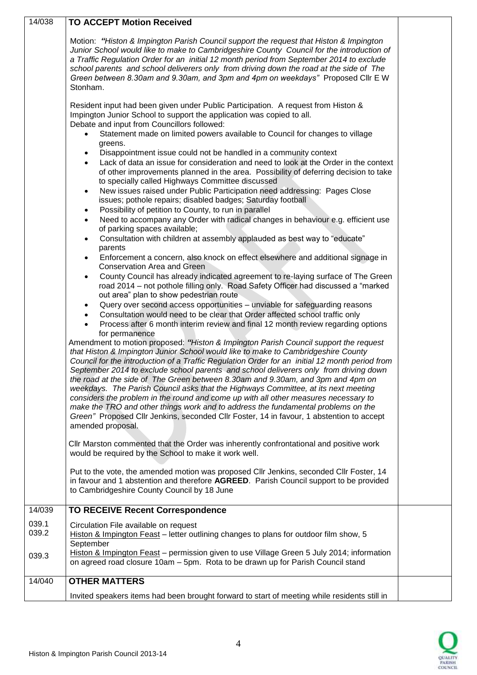| 14/038         | <b>TO ACCEPT Motion Received</b>                                                                                                                                                                                               |  |
|----------------|--------------------------------------------------------------------------------------------------------------------------------------------------------------------------------------------------------------------------------|--|
|                | Motion: "Histon & Impington Parish Council support the request that Histon & Impington<br>Junior School would like to make to Cambridgeshire County Council for the introduction of                                            |  |
|                | a Traffic Regulation Order for an initial 12 month period from September 2014 to exclude<br>school parents and school deliverers only from driving down the road at the side of The                                            |  |
|                | Green between 8.30am and 9.30am, and 3pm and 4pm on weekdays" Proposed Cllr E W<br>Stonham.                                                                                                                                    |  |
|                | Resident input had been given under Public Participation. A request from Histon &<br>Impington Junior School to support the application was copied to all.                                                                     |  |
|                | Debate and input from Councillors followed:<br>Statement made on limited powers available to Council for changes to village                                                                                                    |  |
|                | greens.                                                                                                                                                                                                                        |  |
|                | Disappointment issue could not be handled in a community context<br>$\bullet$<br>Lack of data an issue for consideration and need to look at the Order in the context<br>$\bullet$                                             |  |
|                | of other improvements planned in the area. Possibility of deferring decision to take<br>to specially called Highways Committee discussed                                                                                       |  |
|                | New issues raised under Public Participation need addressing: Pages Close<br>$\bullet$<br>issues; pothole repairs; disabled badges; Saturday football                                                                          |  |
|                | Possibility of petition to County, to run in parallel<br>$\bullet$                                                                                                                                                             |  |
|                | Need to accompany any Order with radical changes in behaviour e.g. efficient use<br>$\bullet$<br>of parking spaces available;                                                                                                  |  |
|                | Consultation with children at assembly applauded as best way to "educate"<br>$\bullet$<br>parents                                                                                                                              |  |
|                | Enforcement a concern, also knock on effect elsewhere and additional signage in<br>$\bullet$<br><b>Conservation Area and Green</b>                                                                                             |  |
|                | County Council has already indicated agreement to re-laying surface of The Green<br>$\bullet$<br>road 2014 - not pothole filling only. Road Safety Officer had discussed a "marked"<br>out area" plan to show pedestrian route |  |
|                | Query over second access opportunities - unviable for safeguarding reasons<br>$\bullet$                                                                                                                                        |  |
|                | Consultation would need to be clear that Order affected school traffic only<br>$\bullet$                                                                                                                                       |  |
|                | Process after 6 month interim review and final 12 month review regarding options<br>$\bullet$<br>for permanence                                                                                                                |  |
|                | Amendment to motion proposed: "Histon & Impington Parish Council support the request<br>that Histon & Impington Junior School would like to make to Cambridgeshire County                                                      |  |
|                | Council for the introduction of a Traffic Regulation Order for an initial 12 month period from<br>September 2014 to exclude school parents and school deliverers only from driving down                                        |  |
|                | the road at the side of The Green between 8.30am and 9.30am, and 3pm and 4pm on<br>weekdays. The Parish Council asks that the Highways Committee, at its next meeting                                                          |  |
|                | considers the problem in the round and come up with all other measures necessary to                                                                                                                                            |  |
|                | make the TRO and other things work and to address the fundamental problems on the<br>Green" Proposed Cllr Jenkins, seconded Cllr Foster, 14 in favour, 1 abstention to accept                                                  |  |
|                | amended proposal.                                                                                                                                                                                                              |  |
|                | CIIr Marston commented that the Order was inherently confrontational and positive work<br>would be required by the School to make it work well.                                                                                |  |
|                | Put to the vote, the amended motion was proposed Cllr Jenkins, seconded Cllr Foster, 14<br>in favour and 1 abstention and therefore AGREED. Parish Council support to be provided                                              |  |
|                | to Cambridgeshire County Council by 18 June                                                                                                                                                                                    |  |
| 14/039         | <b>TO RECEIVE Recent Correspondence</b>                                                                                                                                                                                        |  |
| 039.1<br>039.2 | Circulation File available on request<br>Histon & Impington Feast - letter outlining changes to plans for outdoor film show, 5                                                                                                 |  |
|                | September                                                                                                                                                                                                                      |  |
| 039.3          | Histon & Impington Feast - permission given to use Village Green 5 July 2014; information<br>on agreed road closure 10am - 5pm. Rota to be drawn up for Parish Council stand                                                   |  |
| 14/040         | <b>OTHER MATTERS</b>                                                                                                                                                                                                           |  |
|                | Invited speakers items had been brought forward to start of meeting while residents still in                                                                                                                                   |  |